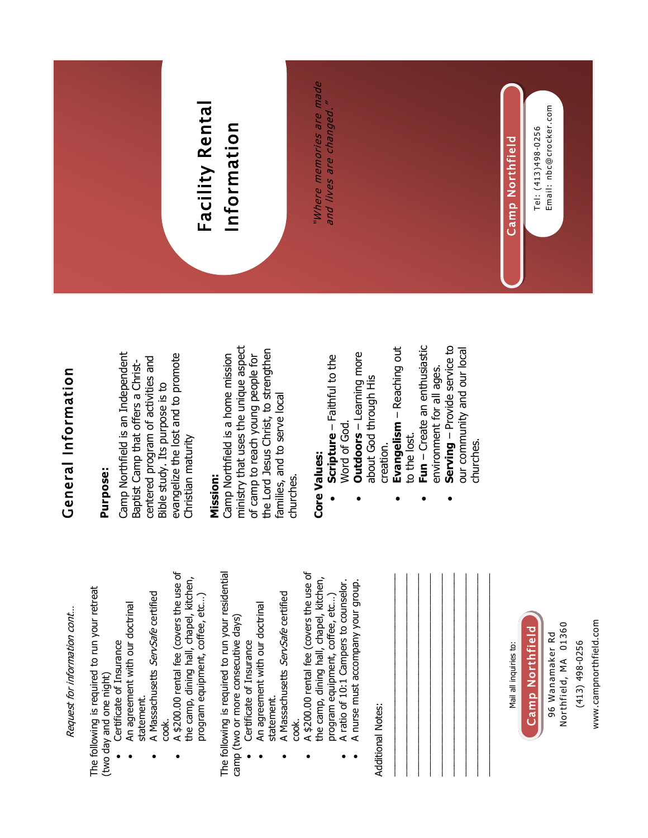

 $\bullet$ 

 $\bullet$ 

 $\bullet$ 

 $\bullet$ 

 $\bullet$ 

 $\bullet$ 

 $\bullet$ 

 $\bullet$ 

 $\bullet$ 

 $\bullet$